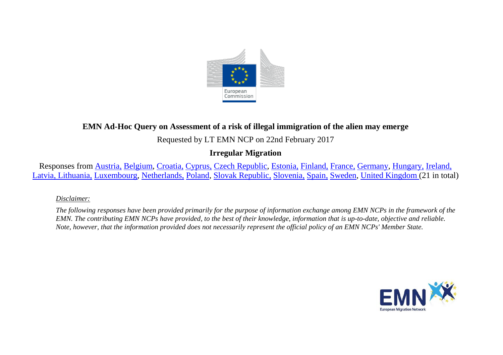

# **EMN Ad-Hoc Query on Assessment of a risk of illegal immigration of the alien may emerge**

Requested by LT EMN NCP on 22nd February 2017

# **Irregular Migration**

Responses from [Austria,](#page-1-0) [Belgium,](#page-2-0) [Croatia,](#page-2-1) [Cyprus,](#page-2-2) [Czech Republic,](#page-2-3) [Estonia,](#page-3-0) [Finland,](#page-3-1) [France,](#page-4-0) [Germany,](#page-4-1) [Hungary,](#page-5-0) [Ireland,](#page-5-1) [Latvia,](#page-6-0) [Lithuania,](#page-6-0) [Luxembourg,](#page-6-1) [Netherlands,](#page-8-0) [Poland,](#page-8-1) [Slovak Republic,](#page-9-0) [Slovenia,](#page-9-1) [Spain,](#page-9-2) [Sweden,](#page-10-0) [United Kingdom \(](#page-10-1)21 in total)

### *Disclaimer:*

*The following responses have been provided primarily for the purpose of information exchange among EMN NCPs in the framework of the EMN. The contributing EMN NCPs have provided, to the best of their knowledge, information that is up-to-date, objective and reliable. Note, however, that the information provided does not necessarily represent the official policy of an EMN NCPs' Member State.*

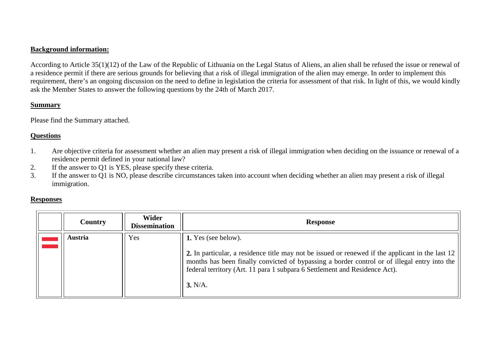### **Background information:**

According to Article 35(1)(12) of the Law of the Republic of Lithuania on the Legal Status of Aliens, an alien shall be refused the issue or renewal of a residence permit if there are serious grounds for believing that a risk of illegal immigration of the alien may emerge. In order to implement this requirement, there's an ongoing discussion on the need to define in legislation the criteria for assessment of that risk. In light of this, we would kindly ask the Member States to answer the following questions by the 24th of March 2017.

#### **Summary**

Please find the Summary attached.

## **Questions**

- 1. Are objective criteria for assessment whether an alien may present a risk of illegal immigration when deciding on the issuance or renewal of a residence permit defined in your national law?
- 2. If the answer to Q1 is YES, please specify these criteria.<br>3. If the answer to O1 is NO, please describe circumstances
- If the answer to Q1 is NO, please describe circumstances taken into account when deciding whether an alien may present a risk of illegal immigration.

### **Responses**

<span id="page-1-0"></span>

| <b>Country</b> | Wider<br><b>Dissemination</b> | <b>Response</b>                                                                                                                                                                                                                                                                                                  |
|----------------|-------------------------------|------------------------------------------------------------------------------------------------------------------------------------------------------------------------------------------------------------------------------------------------------------------------------------------------------------------|
| <b>Austria</b> | Yes                           | 1. Yes (see below).<br>2. In particular, a residence title may not be issued or renewed if the applicant in the last 12<br>months has been finally convicted of bypassing a border control or of illegal entry into the<br>federal territory (Art. 11 para 1 subpara 6 Settlement and Residence Act).<br>3. N/A. |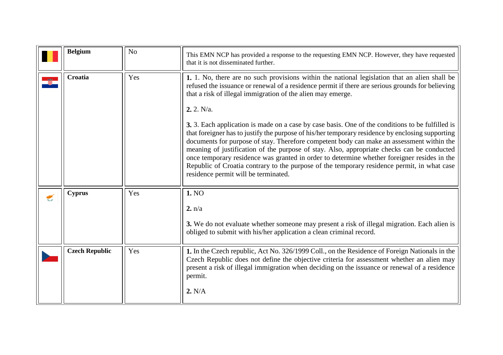<span id="page-2-3"></span><span id="page-2-2"></span><span id="page-2-1"></span><span id="page-2-0"></span>

|   | <b>Belgium</b>                         | N <sub>o</sub> | This EMN NCP has provided a response to the requesting EMN NCP. However, they have requested<br>that it is not disseminated further.                                                                                                                                                                                                                                                                                                                                                                                                                                                                                                                                                                                                                                                                                                                                                                                   |
|---|----------------------------------------|----------------|------------------------------------------------------------------------------------------------------------------------------------------------------------------------------------------------------------------------------------------------------------------------------------------------------------------------------------------------------------------------------------------------------------------------------------------------------------------------------------------------------------------------------------------------------------------------------------------------------------------------------------------------------------------------------------------------------------------------------------------------------------------------------------------------------------------------------------------------------------------------------------------------------------------------|
|   | Croatia                                | Yes            | 1. 1. No, there are no such provisions within the national legislation that an alien shall be<br>refused the issuance or renewal of a residence permit if there are serious grounds for believing<br>that a risk of illegal immigration of the alien may emerge.<br>2.2. N/a.<br>3. 3. Each application is made on a case by case basis. One of the conditions to be fulfilled is<br>that foreigner has to justify the purpose of his/her temporary residence by enclosing supporting<br>documents for purpose of stay. Therefore competent body can make an assessment within the<br>meaning of justification of the purpose of stay. Also, appropriate checks can be conducted<br>once temporary residence was granted in order to determine whether foreigner resides in the<br>Republic of Croatia contrary to the purpose of the temporary residence permit, in what case<br>residence permit will be terminated. |
| € | <b>Cyprus</b><br><b>Czech Republic</b> | Yes<br>Yes     | 1. NO<br>2. n/a<br>3. We do not evaluate whether someone may present a risk of illegal migration. Each alien is<br>obliged to submit with his/her application a clean criminal record.<br>1. In the Czech republic, Act No. 326/1999 Coll., on the Residence of Foreign Nationals in the<br>Czech Republic does not define the objective criteria for assessment whether an alien may                                                                                                                                                                                                                                                                                                                                                                                                                                                                                                                                  |
|   |                                        |                | present a risk of illegal immigration when deciding on the issuance or renewal of a residence<br>permit.<br>2. N/A                                                                                                                                                                                                                                                                                                                                                                                                                                                                                                                                                                                                                                                                                                                                                                                                     |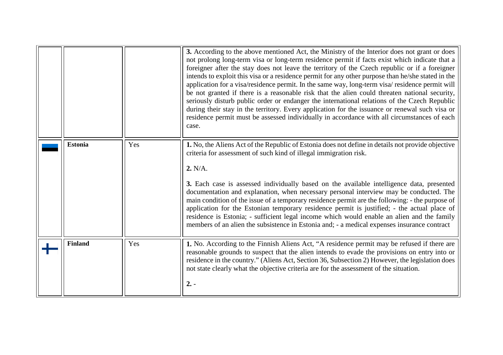<span id="page-3-1"></span><span id="page-3-0"></span>

|                |     | 3. According to the above mentioned Act, the Ministry of the Interior does not grant or does<br>not prolong long-term visa or long-term residence permit if facts exist which indicate that a<br>foreigner after the stay does not leave the territory of the Czech republic or if a foreigner<br>intends to exploit this visa or a residence permit for any other purpose than he/she stated in the<br>application for a visa/residence permit. In the same way, long-term visa/residence permit will<br>be not granted if there is a reasonable risk that the alien could threaten national security,<br>seriously disturb public order or endanger the international relations of the Czech Republic<br>during their stay in the territory. Every application for the issuance or renewal such visa or<br>residence permit must be assessed individually in accordance with all circumstances of each<br>case. |
|----------------|-----|-------------------------------------------------------------------------------------------------------------------------------------------------------------------------------------------------------------------------------------------------------------------------------------------------------------------------------------------------------------------------------------------------------------------------------------------------------------------------------------------------------------------------------------------------------------------------------------------------------------------------------------------------------------------------------------------------------------------------------------------------------------------------------------------------------------------------------------------------------------------------------------------------------------------|
| <b>Estonia</b> | Yes | 1. No, the Aliens Act of the Republic of Estonia does not define in details not provide objective<br>criteria for assessment of such kind of illegal immigration risk.<br>2. N/A.<br>3. Each case is assessed individually based on the available intelligence data, presented<br>documentation and explanation, when necessary personal interview may be conducted. The<br>main condition of the issue of a temporary residence permit are the following: - the purpose of<br>application for the Estonian temporary residence permit is justified; - the actual place of<br>residence is Estonia; - sufficient legal income which would enable an alien and the family<br>members of an alien the subsistence in Estonia and; - a medical expenses insurance contract                                                                                                                                           |
| <b>Finland</b> | Yes | 1. No. According to the Finnish Aliens Act, "A residence permit may be refused if there are<br>reasonable grounds to suspect that the alien intends to evade the provisions on entry into or<br>residence in the country." (Aliens Act, Section 36, Subsection 2) However, the legislation does<br>not state clearly what the objective criteria are for the assessment of the situation.<br>$2. -$                                                                                                                                                                                                                                                                                                                                                                                                                                                                                                               |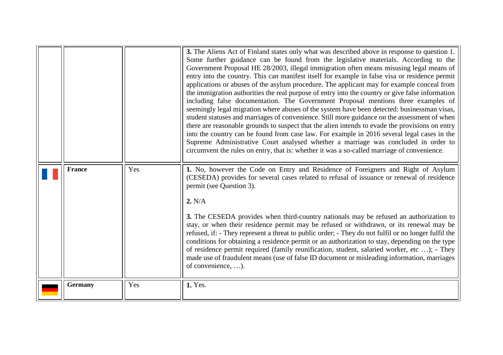<span id="page-4-1"></span><span id="page-4-0"></span>

|                |     | 3. The Aliens Act of Finland states only what was described above in response to question 1.<br>Some further guidance can be found from the legislative materials. According to the<br>Government Proposal HE 28/2003, illegal immigration often means misusing legal means of<br>entry into the country. This can manifest itself for example in false visa or residence permit<br>applications or abuses of the asylum procedure. The applicant may for example conceal from<br>the immigration authorities the real purpose of entry into the country or give false information<br>including false documentation. The Government Proposal mentions three examples of<br>seemingly legal migration where abuses of the system have been detected: businessman visas,<br>student statuses and marriages of convenience. Still more guidance on the assessment of when<br>there are reasonable grounds to suspect that the alien intends to evade the provisions on entry<br>into the country can be found from case law. For example in 2016 several legal cases in the<br>Supreme Administrative Court analysed whether a marriage was concluded in order to<br>circumvent the rules on entry, that is: whether it was a so-called marriage of convenience. |
|----------------|-----|---------------------------------------------------------------------------------------------------------------------------------------------------------------------------------------------------------------------------------------------------------------------------------------------------------------------------------------------------------------------------------------------------------------------------------------------------------------------------------------------------------------------------------------------------------------------------------------------------------------------------------------------------------------------------------------------------------------------------------------------------------------------------------------------------------------------------------------------------------------------------------------------------------------------------------------------------------------------------------------------------------------------------------------------------------------------------------------------------------------------------------------------------------------------------------------------------------------------------------------------------------------|
| <b>France</b>  | Yes | 1. No, however the Code on Entry and Residence of Foreigners and Right of Asylum<br>(CESEDA) provides for several cases related to refusal of issuance or renewal of residence<br>permit (see Question 3).<br>2. N/A<br>3. The CESEDA provides when third-country nationals may be refused an authorization to<br>stay, or when their residence permit may be refused or withdrawn, or its renewal may be<br>refused, if: - They represent a threat to public order; - They do not fulfil or no longer fulfil the<br>conditions for obtaining a residence permit or an authorization to stay, depending on the type<br>of residence permit required (family reunification, student, salaried worker, etc ); - They<br>made use of fraudulent means (use of false ID document or misleading information, marriages<br>of convenience, ).                                                                                                                                                                                                                                                                                                                                                                                                                       |
| <b>Germany</b> | Yes | 1. Yes.                                                                                                                                                                                                                                                                                                                                                                                                                                                                                                                                                                                                                                                                                                                                                                                                                                                                                                                                                                                                                                                                                                                                                                                                                                                       |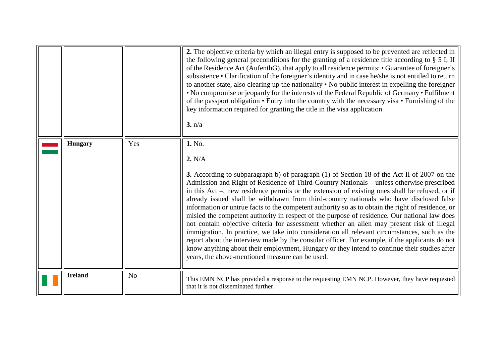<span id="page-5-1"></span><span id="page-5-0"></span>

|                |                | 2. The objective criteria by which an illegal entry is supposed to be prevented are reflected in<br>the following general preconditions for the granting of a residence title according to $\S$ 5 I, II<br>of the Residence Act (AufenthG), that apply to all residence permits: • Guarantee of foreigner's<br>subsistence • Clarification of the foreigner's identity and in case he/she is not entitled to return<br>to another state, also clearing up the nationality • No public interest in expelling the foreigner<br>• No compromise or jeopardy for the interests of the Federal Republic of Germany • Fulfilment<br>of the passport obligation • Entry into the country with the necessary visa • Furnishing of the<br>key information required for granting the title in the visa application<br>3. n/a                                                                                                                                                                                                                                                |
|----------------|----------------|-------------------------------------------------------------------------------------------------------------------------------------------------------------------------------------------------------------------------------------------------------------------------------------------------------------------------------------------------------------------------------------------------------------------------------------------------------------------------------------------------------------------------------------------------------------------------------------------------------------------------------------------------------------------------------------------------------------------------------------------------------------------------------------------------------------------------------------------------------------------------------------------------------------------------------------------------------------------------------------------------------------------------------------------------------------------|
| <b>Hungary</b> | Yes            | 1. No.<br>2. N/A<br>3. According to subparagraph b) of paragraph (1) of Section 18 of the Act II of 2007 on the<br>Admission and Right of Residence of Third-Country Nationals - unless otherwise prescribed<br>in this Act –, new residence permits or the extension of existing ones shall be refused, or if<br>already issued shall be withdrawn from third-country nationals who have disclosed false<br>information or untrue facts to the competent authority so as to obtain the right of residence, or<br>misled the competent authority in respect of the purpose of residence. Our national law does<br>not contain objective criteria for assessment whether an alien may present risk of illegal<br>immigration. In practice, we take into consideration all relevant circumstances, such as the<br>report about the interview made by the consular officer. For example, if the applicants do not<br>know anything about their employment, Hungary or they intend to continue their studies after<br>years, the above-mentioned measure can be used. |
| <b>Ireland</b> | N <sub>o</sub> | This EMN NCP has provided a response to the requesting EMN NCP. However, they have requested<br>that it is not disseminated further.                                                                                                                                                                                                                                                                                                                                                                                                                                                                                                                                                                                                                                                                                                                                                                                                                                                                                                                              |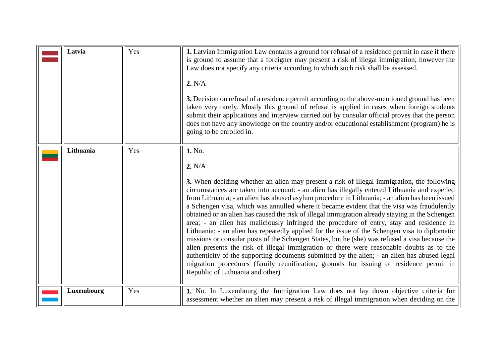<span id="page-6-1"></span><span id="page-6-0"></span>

| Latvia     | Yes | 1. Latvian Immigration Law contains a ground for refusal of a residence permit in case if there<br>is ground to assume that a foreigner may present a risk of illegal immigration; however the<br>Law does not specify any criteria according to which such risk shall be assessed.<br>2. N/A<br>3. Decision on refusal of a residence permit according to the above-mentioned ground has been<br>taken very rarely. Mostly this ground of refusal is applied in cases when foreign students<br>submit their applications and interview carried out by consular official proves that the person<br>does not have any knowledge on the country and/or educational establishment (program) he is<br>going to be enrolled in.                                                                                                                                                                                                                                                                                                                                                                                                                    |
|------------|-----|-----------------------------------------------------------------------------------------------------------------------------------------------------------------------------------------------------------------------------------------------------------------------------------------------------------------------------------------------------------------------------------------------------------------------------------------------------------------------------------------------------------------------------------------------------------------------------------------------------------------------------------------------------------------------------------------------------------------------------------------------------------------------------------------------------------------------------------------------------------------------------------------------------------------------------------------------------------------------------------------------------------------------------------------------------------------------------------------------------------------------------------------------|
| Lithuania  | Yes | 1. No.<br>2. N/A<br>3. When deciding whether an alien may present a risk of illegal immigration, the following<br>circumstances are taken into account: - an alien has illegally entered Lithuania and expelled<br>from Lithuania; - an alien has abused asylum procedure in Lithuania; - an alien has been issued<br>a Schengen visa, which was annulled where it became evident that the visa was fraudulently<br>obtained or an alien has caused the risk of illegal immigration already staying in the Schengen<br>area; - an alien has maliciously infringed the procedure of entry, stay and residence in<br>Lithuania; - an alien has repeatedly applied for the issue of the Schengen visa to diplomatic<br>missions or consular posts of the Schengen States, but he (she) was refused a visa because the<br>alien presents the risk of illegal immigration or there were reasonable doubts as to the<br>authenticity of the supporting documents submitted by the alien; - an alien has abused legal<br>migration procedures (family reunification, grounds for issuing of residence permit in<br>Republic of Lithuania and other). |
| Luxembourg | Yes | 1. No. In Luxembourg the Immigration Law does not lay down objective criteria for<br>assessment whether an alien may present a risk of illegal immigration when deciding on the                                                                                                                                                                                                                                                                                                                                                                                                                                                                                                                                                                                                                                                                                                                                                                                                                                                                                                                                                               |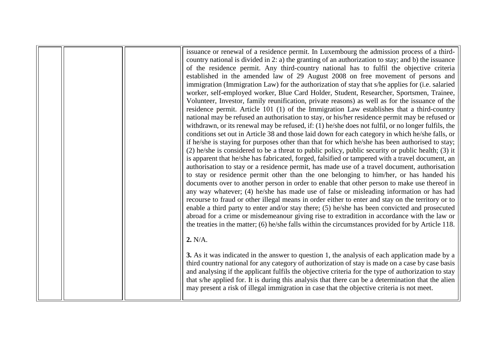issuance or renewal of a residence permit. In Luxembourg the admission process of a thirdcountry national is divided in 2: a) the granting of an authorization to stay; and b) the issuance of the residence permit. Any third-country national has to fulfil the objective criteria established in the amended law of 29 August 2008 on free movement of persons and immigration (Immigration Law) for the authorization of stay that s/he applies for (i.e. salaried worker, self-employed worker, Blue Card Holder, Student, Researcher, Sportsmen, Trainee, Volunteer, Investor, family reunification, private reasons) as well as for the issuance of the residence permit. Article 101 (1) of the Immigration Law establishes that a third-country national may be refused an authorisation to stay, or his/her residence permit may be refused or withdrawn, or its renewal may be refused, if: (1) he/she does not fulfil, or no longer fulfils, the conditions set out in Article 38 and those laid down for each category in which he/she falls, or if he/she is staying for purposes other than that for which he/she has been authorised to stay; (2) he/she is considered to be a threat to public policy, public security or public health; (3) it is apparent that he/she has fabricated, forged, falsified or tampered with a travel document, an authorisation to stay or a residence permit, has made use of a travel document, authorisation to stay or residence permit other than the one belonging to him/her, or has handed his documents over to another person in order to enable that other person to make use thereof in any way whatever; (4) he/she has made use of false or misleading information or has had recourse to fraud or other illegal means in order either to enter and stay on the territory or to enable a third party to enter and/or stay there; (5) he/she has been convicted and prosecuted abroad for a crime or misdemeanour giving rise to extradition in accordance with the law or the treaties in the matter; (6) he/she falls within the circumstances provided for by Article 118. **2.** N/A. **3.** As it was indicated in the answer to question 1, the analysis of each application made by a third country national for any category of authorization of stay is made on a case by case basis and analysing if the applicant fulfils the objective criteria for the type of authorization to stay that s/he applied for. It is during this analysis that there can be a determination that the alien may present a risk of illegal immigration in case that the objective criteria is not meet.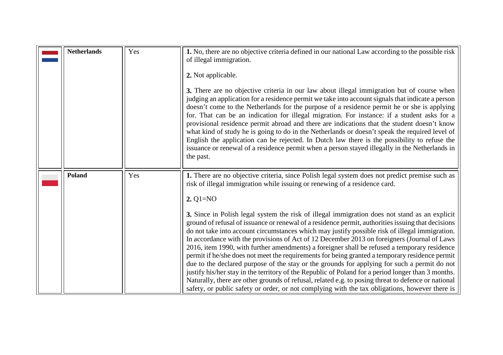<span id="page-8-1"></span><span id="page-8-0"></span>

| <b>Netherlands</b> | Yes | 1. No, there are no objective criteria defined in our national Law according to the possible risk<br>of illegal immigration.<br>2. Not applicable.<br>3. There are no objective criteria in our law about illegal immigration but of course when<br>judging an application for a residence permit we take into account signals that indicate a person<br>doesn't come to the Netherlands for the purpose of a residence permit he or she is applying<br>for. That can be an indication for illegal migration. For instance: if a student asks for a<br>provisional residence permit abroad and there are indications that the student doesn't know<br>what kind of study he is going to do in the Netherlands or doesn't speak the required level of<br>English the application can be rejected. In Dutch law there is the possibility to refuse the<br>issuance or renewal of a residence permit when a person stayed illegally in the Netherlands in<br>the past.                                                                                                                                                                                                                                                   |
|--------------------|-----|-----------------------------------------------------------------------------------------------------------------------------------------------------------------------------------------------------------------------------------------------------------------------------------------------------------------------------------------------------------------------------------------------------------------------------------------------------------------------------------------------------------------------------------------------------------------------------------------------------------------------------------------------------------------------------------------------------------------------------------------------------------------------------------------------------------------------------------------------------------------------------------------------------------------------------------------------------------------------------------------------------------------------------------------------------------------------------------------------------------------------------------------------------------------------------------------------------------------------|
| <b>Poland</b>      | Yes | 1. There are no objective criteria, since Polish legal system does not predict premise such as<br>risk of illegal immigration while issuing or renewing of a residence card.<br>2. $Q1 = NO$<br>3. Since in Polish legal system the risk of illegal immigration does not stand as an explicit<br>ground of refusal of issuance or renewal of a residence permit, authorities issuing that decisions<br>do not take into account circumstances which may justify possible risk of illegal immigration.<br>In accordance with the provisions of Act of 12 December 2013 on foreigners (Journal of Laws<br>2016, item 1990, with further amendments) a foreigner shall be refused a temporary residence<br>permit if he/she does not meet the requirements for being granted a temporary residence permit<br>due to the declared purpose of the stay or the grounds for applying for such a permit do not<br>justify his/her stay in the territory of the Republic of Poland for a period longer than 3 months.<br>Naturally, there are other grounds of refusal, related e.g. to posing threat to defence or national<br>safety, or public safety or order, or not complying with the tax obligations, however there is |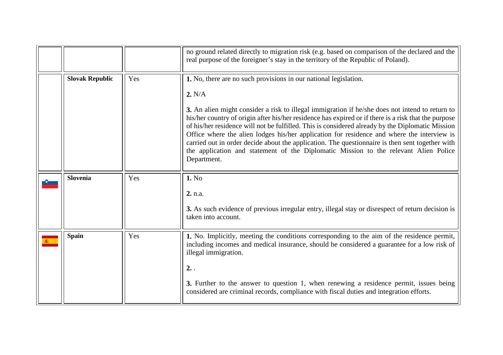<span id="page-9-2"></span><span id="page-9-1"></span><span id="page-9-0"></span>

|                        |     | no ground related directly to migration risk (e.g. based on comparison of the declared and the<br>real purpose of the foreigner's stay in the territory of the Republic of Poland).                                                                                                                                                                                                                                                                                                                                                                                                                                                                                                               |
|------------------------|-----|---------------------------------------------------------------------------------------------------------------------------------------------------------------------------------------------------------------------------------------------------------------------------------------------------------------------------------------------------------------------------------------------------------------------------------------------------------------------------------------------------------------------------------------------------------------------------------------------------------------------------------------------------------------------------------------------------|
| <b>Slovak Republic</b> | Yes | 1. No, there are no such provisions in our national legislation.<br>2. N/A<br>3. An alien might consider a risk to illegal immigration if he/she does not intend to return to<br>his/her country of origin after his/her residence has expired or if there is a risk that the purpose<br>of his/her residence will not be fulfilled. This is considered already by the Diplomatic Mission<br>Office where the alien lodges his/her application for residence and where the interview is<br>carried out in order decide about the application. The questionnaire is then sent together with<br>the application and statement of the Diplomatic Mission to the relevant Alien Police<br>Department. |
| Slovenia               | Yes | 1. No<br>2. n.a.<br>3. As such evidence of previous irregular entry, illegal stay or disrespect of return decision is<br>taken into account.                                                                                                                                                                                                                                                                                                                                                                                                                                                                                                                                                      |
| <b>Spain</b>           | Yes | 1. No. Implicitly, meeting the conditions corresponding to the aim of the residence permit,<br>including incomes and medical insurance, should be considered a guarantee for a low risk of<br>illegal immigration.<br>2.<br>3. Further to the answer to question 1, when renewing a residence permit, issues being<br>considered are criminal records, compliance with fiscal duties and integration efforts.                                                                                                                                                                                                                                                                                     |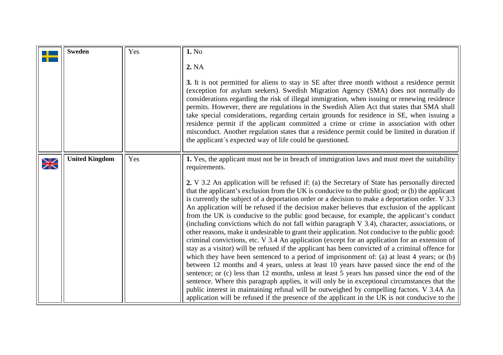<span id="page-10-1"></span><span id="page-10-0"></span>

|                      | <b>Sweden</b>         | Yes | 1. No                                                                                                                                                                                                                                                                                                                                                                                                                                                                                                                                                                                                                                                                                                                                                                                                                                                                                                                                                                                                                                                                                                                                                                                                                                                                                                                                                                                                                                                                                                        |
|----------------------|-----------------------|-----|--------------------------------------------------------------------------------------------------------------------------------------------------------------------------------------------------------------------------------------------------------------------------------------------------------------------------------------------------------------------------------------------------------------------------------------------------------------------------------------------------------------------------------------------------------------------------------------------------------------------------------------------------------------------------------------------------------------------------------------------------------------------------------------------------------------------------------------------------------------------------------------------------------------------------------------------------------------------------------------------------------------------------------------------------------------------------------------------------------------------------------------------------------------------------------------------------------------------------------------------------------------------------------------------------------------------------------------------------------------------------------------------------------------------------------------------------------------------------------------------------------------|
|                      |                       |     | 2. NA                                                                                                                                                                                                                                                                                                                                                                                                                                                                                                                                                                                                                                                                                                                                                                                                                                                                                                                                                                                                                                                                                                                                                                                                                                                                                                                                                                                                                                                                                                        |
|                      |                       |     | 3. It is not permitted for aliens to stay in SE after three month without a residence permit<br>(exception for asylum seekers). Swedish Migration Agency (SMA) does not normally do<br>considerations regarding the risk of illegal immigration, when issuing or renewing residence<br>permits. However, there are regulations in the Swedish Alien Act that states that SMA shall<br>take special considerations, regarding certain grounds for residence in SE, when issuing a<br>residence permit if the applicant committed a crime or crime in association with other<br>misconduct. Another regulation states that a residence permit could be limited in duration if<br>the applicant's expected way of life could be questioned.                                                                                                                                                                                                                                                                                                                                                                                                                                                                                                                                                                                                                                                                                                                                                                     |
| $\frac{1}{\sqrt{2}}$ | <b>United Kingdom</b> | Yes | 1. Yes, the applicant must not be in breach of immigration laws and must meet the suitability<br>requirements.                                                                                                                                                                                                                                                                                                                                                                                                                                                                                                                                                                                                                                                                                                                                                                                                                                                                                                                                                                                                                                                                                                                                                                                                                                                                                                                                                                                               |
|                      |                       |     | 2. V 3.2 An application will be refused if: (a) the Secretary of State has personally directed<br>that the applicant's exclusion from the UK is conducive to the public good; or (b) the applicant<br>is currently the subject of a deportation order or a decision to make a deportation order. V 3.3<br>An application will be refused if the decision maker believes that exclusion of the applicant<br>from the UK is conducive to the public good because, for example, the applicant's conduct<br>(including convictions which do not fall within paragraph V 3.4), character, associations, or<br>other reasons, make it undesirable to grant their application. Not conducive to the public good:<br>criminal convictions, etc. V 3.4 An application (except for an application for an extension of<br>stay as a visitor) will be refused if the applicant has been convicted of a criminal offence for<br>which they have been sentenced to a period of imprisonment of: (a) at least 4 years; or (b)<br>between 12 months and 4 years, unless at least 10 years have passed since the end of the<br>sentence; or (c) less than 12 months, unless at least 5 years has passed since the end of the<br>sentence. Where this paragraph applies, it will only be in exceptional circumstances that the<br>public interest in maintaining refusal will be outweighed by compelling factors. V 3.4A An<br>application will be refused if the presence of the applicant in the UK is not conducive to the |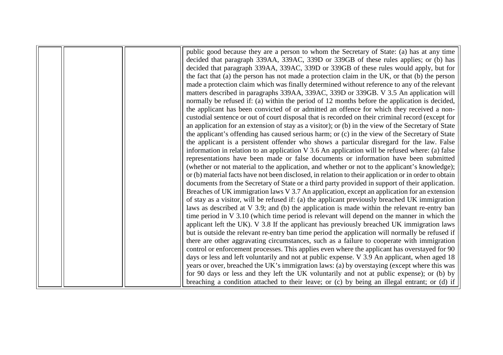|  | public good because they are a person to whom the Secretary of State: (a) has at any time             |
|--|-------------------------------------------------------------------------------------------------------|
|  | decided that paragraph 339AA, 339AC, 339D or 339GB of these rules applies; or (b) has                 |
|  | decided that paragraph 339AA, 339AC, 339D or 339GB of these rules would apply, but for                |
|  | the fact that (a) the person has not made a protection claim in the UK, or that (b) the person        |
|  | made a protection claim which was finally determined without reference to any of the relevant         |
|  | matters described in paragraphs 339AA, 339AC, 339D or 339GB. V 3.5 An application will                |
|  | normally be refused if: (a) within the period of 12 months before the application is decided,         |
|  | the applicant has been convicted of or admitted an offence for which they received a non-             |
|  | custodial sentence or out of court disposal that is recorded on their criminal record (except for     |
|  | an application for an extension of stay as a visitor); or (b) in the view of the Secretary of State   |
|  | the applicant's offending has caused serious harm; or (c) in the view of the Secretary of State       |
|  | the applicant is a persistent offender who shows a particular disregard for the law. False            |
|  | information in relation to an application $V$ 3.6 An application will be refused where: (a) false     |
|  | representations have been made or false documents or information have been submitted                  |
|  | (whether or not material to the application, and whether or not to the applicant's knowledge);        |
|  | or (b) material facts have not been disclosed, in relation to their application or in order to obtain |
|  | documents from the Secretary of State or a third party provided in support of their application.      |
|  | Breaches of UK immigration laws V 3.7 An application, except an application for an extension          |
|  | of stay as a visitor, will be refused if: (a) the applicant previously breached UK immigration        |
|  | laws as described at V 3.9; and (b) the application is made within the relevant re-entry ban          |
|  | time period in $V$ 3.10 (which time period is relevant will depend on the manner in which the         |
|  | applicant left the UK). V 3.8 If the applicant has previously breached UK immigration laws            |
|  | but is outside the relevant re-entry ban time period the application will normally be refused if      |
|  | there are other aggravating circumstances, such as a failure to cooperate with immigration            |
|  | control or enforcement processes. This applies even where the applicant has overstayed for 90         |
|  | days or less and left voluntarily and not at public expense. V 3.9 An applicant, when aged 18         |
|  | years or over, breached the UK's immigration laws: (a) by overstaying (except where this was          |
|  | for 90 days or less and they left the UK voluntarily and not at public expense); or (b) by            |
|  | breaching a condition attached to their leave; or (c) by being an illegal entrant; or (d) if          |
|  |                                                                                                       |